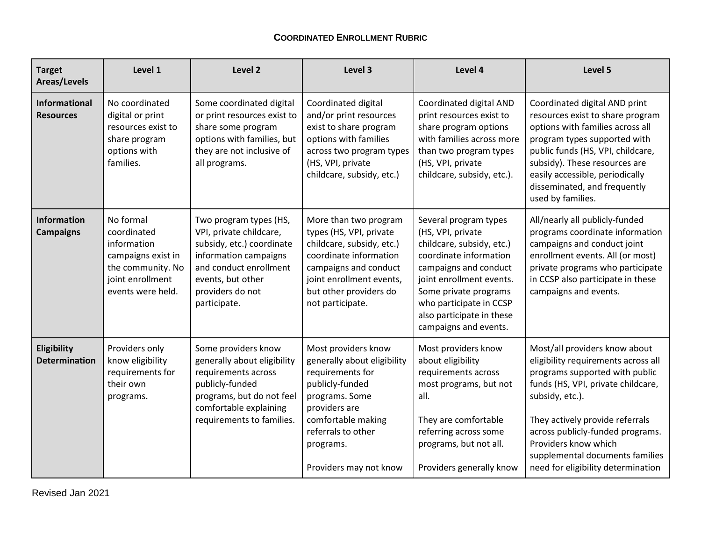## **COORDINATED ENROLLMENT RUBRIC**

| <b>Target</b><br>Areas/Levels            | Level 1                                                                                                                     | Level 2                                                                                                                                                                                    | Level 3                                                                                                                                                                                                         | Level 4                                                                                                                                                                                                                                                          | Level 5                                                                                                                                                                                                                                                                                                                                 |
|------------------------------------------|-----------------------------------------------------------------------------------------------------------------------------|--------------------------------------------------------------------------------------------------------------------------------------------------------------------------------------------|-----------------------------------------------------------------------------------------------------------------------------------------------------------------------------------------------------------------|------------------------------------------------------------------------------------------------------------------------------------------------------------------------------------------------------------------------------------------------------------------|-----------------------------------------------------------------------------------------------------------------------------------------------------------------------------------------------------------------------------------------------------------------------------------------------------------------------------------------|
| <b>Informational</b><br><b>Resources</b> | No coordinated<br>digital or print<br>resources exist to<br>share program<br>options with<br>families.                      | Some coordinated digital<br>or print resources exist to<br>share some program<br>options with families, but<br>they are not inclusive of<br>all programs.                                  | Coordinated digital<br>and/or print resources<br>exist to share program<br>options with families<br>across two program types<br>(HS, VPI, private<br>childcare, subsidy, etc.)                                  | Coordinated digital AND<br>print resources exist to<br>share program options<br>with families across more<br>than two program types<br>(HS, VPI, private<br>childcare, subsidy, etc.).                                                                           | Coordinated digital AND print<br>resources exist to share program<br>options with families across all<br>program types supported with<br>public funds (HS, VPI, childcare,<br>subsidy). These resources are<br>easily accessible, periodically<br>disseminated, and frequently<br>used by families.                                     |
| Information<br><b>Campaigns</b>          | No formal<br>coordinated<br>information<br>campaigns exist in<br>the community. No<br>joint enrollment<br>events were held. | Two program types (HS,<br>VPI, private childcare,<br>subsidy, etc.) coordinate<br>information campaigns<br>and conduct enrollment<br>events, but other<br>providers do not<br>participate. | More than two program<br>types (HS, VPI, private<br>childcare, subsidy, etc.)<br>coordinate information<br>campaigns and conduct<br>joint enrollment events,<br>but other providers do<br>not participate.      | Several program types<br>(HS, VPI, private<br>childcare, subsidy, etc.)<br>coordinate information<br>campaigns and conduct<br>joint enrollment events.<br>Some private programs<br>who participate in CCSP<br>also participate in these<br>campaigns and events. | All/nearly all publicly-funded<br>programs coordinate information<br>campaigns and conduct joint<br>enrollment events. All (or most)<br>private programs who participate<br>in CCSP also participate in these<br>campaigns and events.                                                                                                  |
| Eligibility<br><b>Determination</b>      | Providers only<br>know eligibility<br>requirements for<br>their own<br>programs.                                            | Some providers know<br>generally about eligibility<br>requirements across<br>publicly-funded<br>programs, but do not feel<br>comfortable explaining<br>requirements to families.           | Most providers know<br>generally about eligibility<br>requirements for<br>publicly-funded<br>programs. Some<br>providers are<br>comfortable making<br>referrals to other<br>programs.<br>Providers may not know | Most providers know<br>about eligibility<br>requirements across<br>most programs, but not<br>all.<br>They are comfortable<br>referring across some<br>programs, but not all.<br>Providers generally know                                                         | Most/all providers know about<br>eligibility requirements across all<br>programs supported with public<br>funds (HS, VPI, private childcare,<br>subsidy, etc.).<br>They actively provide referrals<br>across publicly-funded programs.<br>Providers know which<br>supplemental documents families<br>need for eligibility determination |